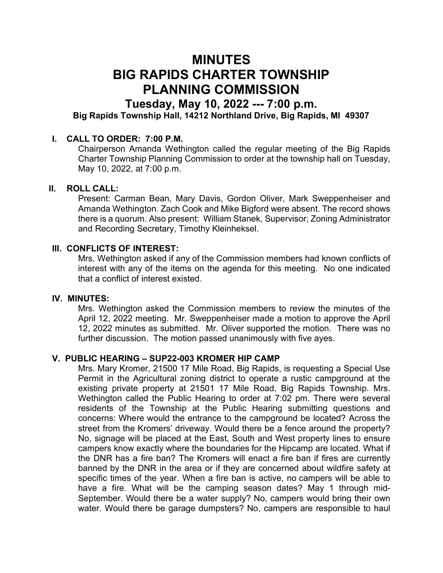# MINUTES BIG RAPIDS CHARTER TOWNSHIP PLANNING COMMISSION

## Tuesday, May 10, 2022 --- 7:00 p.m.

Big Rapids Township Hall, 14212 Northland Drive, Big Rapids, MI 49307

#### I. CALL TO ORDER: 7:00 P.M.

Chairperson Amanda Wethington called the regular meeting of the Big Rapids Charter Township Planning Commission to order at the township hall on Tuesday, May 10, 2022, at 7:00 p.m.

#### II. ROLL CALL:

Present: Carman Bean, Mary Davis, Gordon Oliver, Mark Sweppenheiser and Amanda Wethington. Zach Cook and Mike Bigford were absent. The record shows there is a quorum. Also present: William Stanek, Supervisor; Zoning Administrator and Recording Secretary, Timothy Kleinheksel.

#### III. CONFLICTS OF INTEREST:

Mrs. Wethington asked if any of the Commission members had known conflicts of interest with any of the items on the agenda for this meeting. No one indicated that a conflict of interest existed.

#### IV. MINUTES:

Mrs. Wethington asked the Commission members to review the minutes of the April 12, 2022 meeting. Mr. Sweppenheiser made a motion to approve the April 12, 2022 minutes as submitted. Mr. Oliver supported the motion. There was no further discussion. The motion passed unanimously with five ayes.

#### V. PUBLIC HEARING – SUP22-003 KROMER HIP CAMP

Mrs. Mary Kromer, 21500 17 Mile Road, Big Rapids, is requesting a Special Use Permit in the Agricultural zoning district to operate a rustic campground at the existing private property at 21501 17 Mile Road, Big Rapids Township. Mrs. Wethington called the Public Hearing to order at 7:02 pm. There were several residents of the Township at the Public Hearing submitting questions and concerns: Where would the entrance to the campground be located? Across the street from the Kromers' driveway. Would there be a fence around the property? No, signage will be placed at the East, South and West property lines to ensure campers know exactly where the boundaries for the Hipcamp are located. What if the DNR has a fire ban? The Kromers will enact a fire ban if fires are currently banned by the DNR in the area or if they are concerned about wildfire safety at specific times of the year. When a fire ban is active, no campers will be able to have a fire. What will be the camping season dates? May 1 through mid-September. Would there be a water supply? No, campers would bring their own water. Would there be garage dumpsters? No, campers are responsible to haul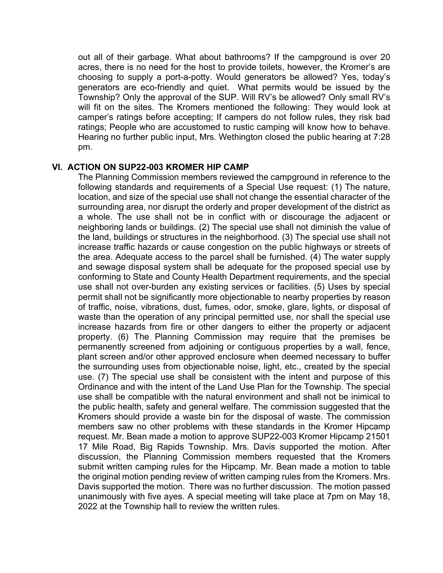out all of their garbage. What about bathrooms? If the campground is over 20 acres, there is no need for the host to provide toilets, however, the Kromer's are choosing to supply a port-a-potty. Would generators be allowed? Yes, today's generators are eco-friendly and quiet. What permits would be issued by the Township? Only the approval of the SUP. Will RV's be allowed? Only small RV's will fit on the sites. The Kromers mentioned the following: They would look at camper's ratings before accepting; If campers do not follow rules, they risk bad ratings; People who are accustomed to rustic camping will know how to behave. Hearing no further public input, Mrs. Wethington closed the public hearing at 7:28 pm.

#### VI. ACTION ON SUP22-003 KROMER HIP CAMP

The Planning Commission members reviewed the campground in reference to the following standards and requirements of a Special Use request: (1) The nature, location, and size of the special use shall not change the essential character of the surrounding area, nor disrupt the orderly and proper development of the district as a whole. The use shall not be in conflict with or discourage the adjacent or neighboring lands or buildings. (2) The special use shall not diminish the value of the land, buildings or structures in the neighborhood. (3) The special use shall not increase traffic hazards or cause congestion on the public highways or streets of the area. Adequate access to the parcel shall be furnished. (4) The water supply and sewage disposal system shall be adequate for the proposed special use by conforming to State and County Health Department requirements, and the special use shall not over-burden any existing services or facilities. (5) Uses by special permit shall not be significantly more objectionable to nearby properties by reason of traffic, noise, vibrations, dust, fumes, odor, smoke, glare, lights, or disposal of waste than the operation of any principal permitted use, nor shall the special use increase hazards from fire or other dangers to either the property or adjacent property. (6) The Planning Commission may require that the premises be permanently screened from adjoining or contiguous properties by a wall, fence, plant screen and/or other approved enclosure when deemed necessary to buffer the surrounding uses from objectionable noise, light, etc., created by the special use. (7) The special use shall be consistent with the intent and purpose of this Ordinance and with the intent of the Land Use Plan for the Township. The special use shall be compatible with the natural environment and shall not be inimical to the public health, safety and general welfare. The commission suggested that the Kromers should provide a waste bin for the disposal of waste. The commission members saw no other problems with these standards in the Kromer Hipcamp request. Mr. Bean made a motion to approve SUP22-003 Kromer Hipcamp 21501 17 Mile Road, Big Rapids Township. Mrs. Davis supported the motion. After discussion, the Planning Commission members requested that the Kromers submit written camping rules for the Hipcamp. Mr. Bean made a motion to table the original motion pending review of written camping rules from the Kromers. Mrs. Davis supported the motion. There was no further discussion. The motion passed unanimously with five ayes. A special meeting will take place at 7pm on May 18, 2022 at the Township hall to review the written rules.